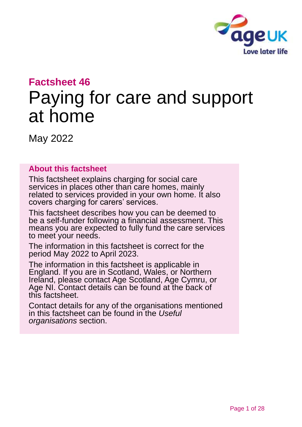

# **Factsheet 46**

# Paying for care and support at home

May 2022

#### **About this factsheet**

This factsheet explains charging for social care services in places other than care homes, mainly related to services provided in your own home. It also covers charging for carers' services.

This factsheet describes how you can be deemed to be a self-funder following a financial assessment. This means you are expected to fully fund the care services to meet your needs.

The information in this factsheet is correct for the period May 2022 to April 2023.

The information in this factsheet is applicable in England. If you are in Scotland, Wales, or Northern Ireland, please contact [Age Scotland, Age Cymru,](#page-26-0) or [Age NI.](#page-26-0) Contact details can be found at the back of this factsheet.

Contact details for any of the organisations mentioned in this factsheet can be found in the *[Useful](#page-25-0)  [organisations](#page-25-0)* section.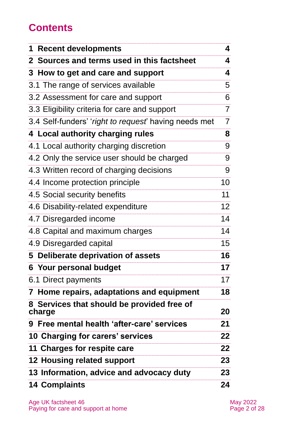# **Contents**

| <b>1 Recent developments</b>                          | 4               |
|-------------------------------------------------------|-----------------|
| 2 Sources and terms used in this factsheet            | 4               |
| 3 How to get and care and support                     | 4               |
| 3.1 The range of services available                   | 5               |
| 3.2 Assessment for care and support                   | 6               |
| 3.3 Eligibility criteria for care and support         | $\overline{7}$  |
| 3.4 Self-funders' 'right to request' having needs met | $\overline{7}$  |
| 4 Local authority charging rules                      | 8               |
| 4.1 Local authority charging discretion               | 9               |
| 4.2 Only the service user should be charged           | 9               |
| 4.3 Written record of charging decisions              | 9               |
| 4.4 Income protection principle                       | 10              |
| 4.5 Social security benefits                          | 11              |
| 4.6 Disability-related expenditure                    | 12 <sup>2</sup> |
| 4.7 Disregarded income                                | 14              |
| 4.8 Capital and maximum charges                       | 14              |
| 4.9 Disregarded capital                               | 15 <sub>1</sub> |
| 5 Deliberate deprivation of assets                    | 16              |
| 6 Your personal budget                                | 17              |
| 6.1 Direct payments                                   | 17              |
| 7 Home repairs, adaptations and equipment             | 18              |
| 8 Services that should be provided free of<br>charge  | 20              |
| 9 Free mental health 'after-care' services            | 21              |
| 10 Charging for carers' services                      | 22              |
| 11 Charges for respite care                           | 22              |
| 12 Housing related support                            | 23              |
| 13 Information, advice and advocacy duty              | 23              |
| <b>14 Complaints</b>                                  | 24              |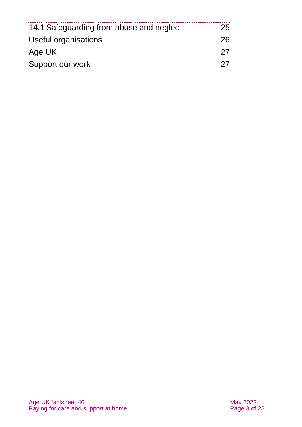| 14.1 Safeguarding from abuse and neglect |  |
|------------------------------------------|--|
| Useful organisations                     |  |
| Age UK                                   |  |
| Support our work                         |  |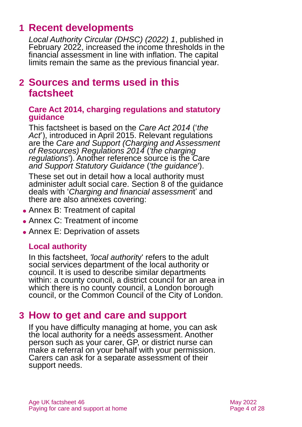# <span id="page-3-0"></span>**1 Recent developments**

*[Local Authority Circular \(DHSC\) \(2022\) 1](https://www.gov.uk/government/publications/social-care-charging-for-local-authorities-2022-to-2023/social-care-charging-for-care-and-support-local-authority-circular-lacdhsc20231)*, published in February 2022, increased the income thresholds in the financial assessment in line with inflation. The capital limits remain the same as the previous financial year.

### <span id="page-3-1"></span>**2 Sources and terms used in this factsheet**

#### **Care Act 2014, charging regulations and statutory guidance**

This factsheet is based on the *[Care Act 2014](http://www.legislation.gov.uk/ukpga/2014/23/contents)* ('*the Act*'), introduced in April 2015. Relevant regulations are the *[Care and Support \(Charging and Assessment](http://www.legislation.gov.uk/uksi/2014/2672/contents/made)  [of Resources\) Regulations 2014](http://www.legislation.gov.uk/uksi/2014/2672/contents/made)* (*'the charging regulations*'). Another reference source is the *[Care](https://www.gov.uk/government/publications/care-act-statutory-guidance/care-and-support-statutory-guidance)  [and Support Statutory Guidance](https://www.gov.uk/government/publications/care-act-statutory-guidance/care-and-support-statutory-guidance)* (*'the guidance*').

These set out in detail how a local authority must administer adult social care. Section 8 of the guidance deals with '*Charging and financial assessmen*t' and there are also annexes covering:

- ⚫ Annex B: Treatment of capital
- ⚫ Annex C: Treatment of income
- Annex E: Deprivation of assets

### **Local authority**

In this factsheet, *'local authorit*y' refers to the adult social services department of the local authority or council. It is used to describe similar departments within: a county council, a district council for an area in which there is no county council, a London borough council, or the Common Council of the City of London.

### <span id="page-3-2"></span>**3 How to get and care and support**

If you have difficulty managing at home, you can ask the local authority for a needs assessment. Another person such as your carer, GP, or district nurse can make a referral on your behalf with your permission. Carers can ask for a separate assessment of their support needs.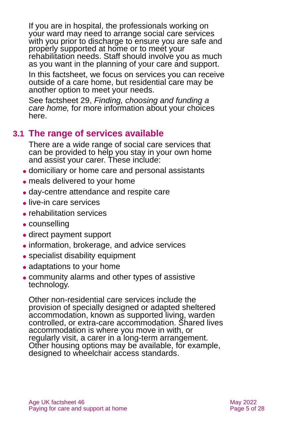If you are in hospital, the professionals working on your ward may need to arrange social care services with you prior to discharge to ensure you are safe and properly supported at home or to meet your rehabilitation needs. Staff should involve you as much as you want in the planning of your care and support.

In this factsheet, we focus on services you can receive outside of a care home, but residential care may be another option to meet your needs.

See factsheet 29, *[Finding, choosing and funding a](https://www.ageuk.org.uk/globalassets/age-uk/documents/factsheets/fs29_finding_choosing_and_funding_a_care_home_fcs.pdf)  [care home,](https://www.ageuk.org.uk/globalassets/age-uk/documents/factsheets/fs29_finding_choosing_and_funding_a_care_home_fcs.pdf)* for more information about your choices here.

### **3.1 The range of services available**

There are a wide range of social care services that can be provided to help you stay in your own home and assist your carer. These include:

- ⚫ domiciliary or home care and personal assistants
- meals delivered to your home
- ⚫ day-centre attendance and respite care
- ⚫ live-in care services
- rehabilitation services
- counselling
- direct payment support
- ⚫ information, brokerage, and advice services
- ⚫ specialist disability equipment
- adaptations to your home
- ⚫ community alarms and other types of assistive technology.

Other non-residential care services include the provision of specially designed or adapted sheltered accommodation, known as supported living, warden controlled, or extra-care accommodation. Shared lives accommodation is where you move in with, or regularly visit, a carer in a long-term arrangement. Other housing options may be available, for example, designed to wheelchair access standards.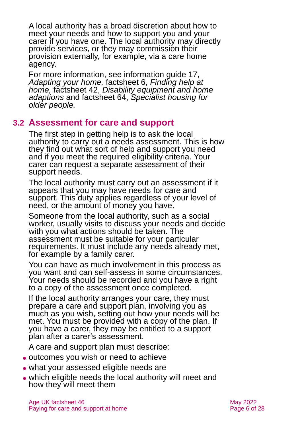A local authority has a broad discretion about how to meet your needs and how to support you and your carer if you have one. The local authority may directly provide services, or they may commission their provision externally, for example, via a care home agency.

For more information, see information guide 17, *[Adapting your home,](https://www.ageuk.org.uk/globalassets/age-uk/documents/information-guides/ageukig17_adapting_your_home_inf.pdf)* factsheet 6, *[Finding help at](https://www.ageuk.org.uk/globalassets/age-uk/documents/factsheets/fs6_finding_help_at_home_fcs.pdf)  [home,](https://www.ageuk.org.uk/globalassets/age-uk/documents/factsheets/fs6_finding_help_at_home_fcs.pdf)* factsheet 42, *[Disability equipment and home](https://www.ageuk.org.uk/globalassets/age-uk/documents/factsheets/fs42_disability_equipment_and_home_adaptations_fcs.pdf)  [adaptions](https://www.ageuk.org.uk/globalassets/age-uk/documents/factsheets/fs42_disability_equipment_and_home_adaptations_fcs.pdf)* and factsheet 64, *[Specialist housing for](https://www.ageuk.org.uk/globalassets/age-uk/documents/factsheets/fs64_specialist_housing_for_older_people_fcs.pdf)  [older people.](https://www.ageuk.org.uk/globalassets/age-uk/documents/factsheets/fs64_specialist_housing_for_older_people_fcs.pdf)* 

#### **3.2 Assessment for care and support**

The first step in getting help is to ask the local authority to carry out a needs assessment. This is how they find out what sort of help and support you need and if you meet the required eligibility criteria. Your carer can request a separate assessment of their support needs.

The local authority must carry out an assessment if it appears that you may have needs for care and support. This duty applies regardless of your level of need, or the amount of money you have.

Someone from the local authority, such as a social worker, usually visits to discuss your needs and decide with you what actions should be taken. The assessment must be suitable for your particular requirements. It must include any needs already met, for example by a family carer.

You can have as much involvement in this process as you want and can self-assess in some circumstances. Your needs should be recorded and you have a right to a copy of the assessment once completed.

If the local authority arranges your care, they must prepare a care and support plan, involving you as much as you wish, setting out how your needs will be met. You must be provided with a copy of the plan. If you have a carer, they may be entitled to a support plan after a carer's assessment.

A care and support plan must describe:

- ⚫ outcomes you wish or need to achieve
- ⚫ what your assessed eligible needs are
- ⚫ which eligible needs the local authority will meet and how they will meet them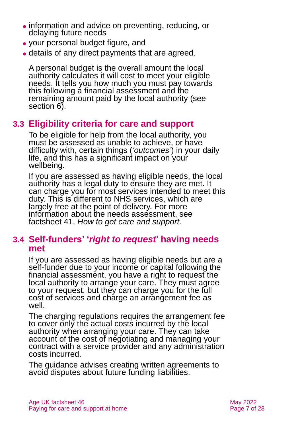- ⚫ information and advice on preventing, reducing, or delaying future needs
- ⚫ your personal budget figure, and
- ⚫ details of any direct payments that are agreed.

A personal budget is the overall amount the local authority calculates it will cost to meet your eligible needs. It tells you how much you must pay towards this following a financial assessment and the remaining amount paid by the local authority (see [section 6\)](#page-16-0).

### **3.3 Eligibility criteria for care and support**

To be eligible for help from the local authority, you must be assessed as unable to achieve, or have difficulty with, certain things (*'outcomes'*) in your daily life, and this has a significant impact on your wellbeing.

If you are assessed as having eligible needs, the local authority has a legal duty to ensure they are met. It can charge you for most services intended to meet this duty. This is different to NHS services, which are largely free at the point of delivery. For more information about the needs assessment, see factsheet 41, *[How to get care and support.](https://www.ageuk.org.uk/globalassets/age-uk/documents/factsheets/fs41_how_to_get_care_and_support_fcs.pdf)*

### **3.4 Self-funders' '***right to request***' having needs met**

If you are assessed as having eligible needs but are a self-funder due to your income or capital following the financial assessment, you have a right to request the local authority to arrange your care. They must agree to your request, but they can charge you for the full cost of services and charge an arrangement fee as well.

The charging regulations requires the arrangement fee to cover only the actual costs incurred by the local authority when arranging your care. They can take account of the cost of negotiating and managing your contract with a service provider and any administration costs incurred.

The guidance advises creating written agreements to avoid disputes about future funding liabilities.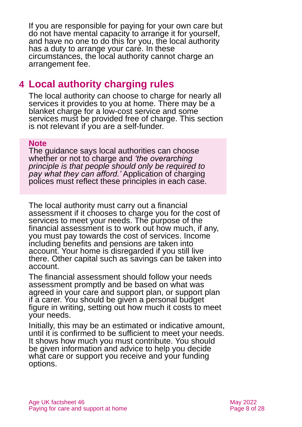If you are responsible for paying for your own care but do not have mental capacity to arrange it for yourself, and have no one to do this for you, the local authority has a duty to arrange your care. In these circumstances, the local authority cannot charge an arrangement fee.

# <span id="page-7-0"></span>**4 Local authority charging rules**

The local authority can choose to charge for nearly all services it provides to you at home. There may be a blanket charge for a low-cost service and some services must be provided free of charge. This section is not relevant if you are a self-funder.

#### **Note**

The guidance says local authorities can choose whether or not to charge and *'the overarching principle is that people should only be required to pay what they can afford.'* Application of charging polices must reflect these principles in each case.

The local authority must carry out a financial assessment if it chooses to charge you for the cost of services to meet your needs. The purpose of the financial assessment is to work out how much, if any, you must pay towards the cost of services. Income including benefits and pensions are taken into account. Your home is disregarded if you still live there. Other capital such as savings can be taken into account.

The financial assessment should follow your needs assessment promptly and be based on what was agreed in your care and support plan, or support plan if a carer. You should be given a personal budget figure in writing, setting out how much it costs to meet your needs.

Initially, this may be an estimated or indicative amount, until it is confirmed to be sufficient to meet your needs. It shows how much you must contribute. You should be given information and advice to help you decide what care or support you receive and your funding options.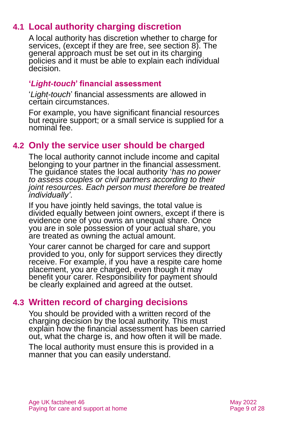### **4.1 Local authority charging discretion**

A local authority has discretion whether to charge for services, (except if they are free, see [section 8\)](#page-19-0). The general approach must be set out in its charging policies and it must be able to explain each individual decision.

#### **'***Light-touch***' financial assessment**

'*Light-touch*' financial assessments are allowed in certain circumstances.

For example, you have significant financial resources but require support; or a small service is supplied for a nominal fee.

### **4.2 Only the service user should be charged**

The local authority cannot include income and capital belonging to your partner in the financial assessment. The guidance states the local authority '*has no power to assess couples or civil partners according to their joint resources. Each person must therefore be treated individually'*.

If you have jointly held savings, the total value is divided equally between joint owners, except if there is evidence one of you owns an unequal share. Once you are in sole possession of your actual share, you are treated as owning the actual amount.

Your carer cannot be charged for care and support provided to you, only for support services they directly receive. For example, if you have a respite care home placement, you are charged, even though it may benefit your carer. Responsibility for payment should be clearly explained and agreed at the outset.

### **4.3 Written record of charging decisions**

You should be provided with a written record of the charging decision by the local authority. This must explain how the financial assessment has been carried out, what the charge is, and how often it will be made.

The local authority must ensure this is provided in a manner that you can easily understand.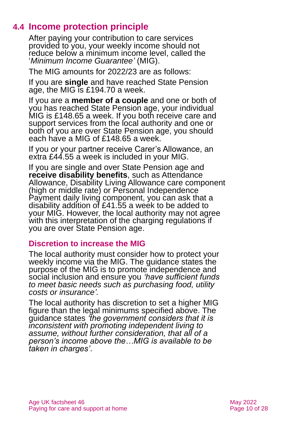### **4.4 Income protection principle**

After paying your contribution to care services provided to you, your weekly income should not reduce below a minimum income level, called the '*Minimum Income Guarantee'* (MIG).

The MIG amounts for 2022/23 are as follows:

If you are **single** and have reached State Pension age, the MIG is £194.70 a week.

If you are a **member of a couple** and one or both of you has reached State Pension age, your individual MIG is £148.65 a week. If you both receive care and support services from the local authority and one or both of you are over State Pension age, you should each have a MIG of £148.65 a week.

If you or your partner receive Carer's Allowance, an extra £44.55 a week is included in your MIG.

If you are single and over State Pension age and **receive disability benefits**, such as Attendance Allowance, Disability Living Allowance care component (high or middle rate) or Personal Independence Payment daily living component, you can ask that a disability addition of £41.55 a week to be added to your MIG. However, the local authority may not agree with this interpretation of the charging regulations if you are over State Pension age.

#### **Discretion to increase the MIG**

The local authority must consider how to protect your weekly income via the MIG. The guidance states the purpose of the MIG is to promote independence and social inclusion and ensure you *'have sufficient funds to meet basic needs such as purchasing food, utility costs or insurance'.*

The local authority has discretion to set a higher MIG figure than the legal minimums specified above. The guidance states *'the government considers that it is inconsistent with promoting independent living to assume, without further consideration, that all of a person's income above the…MIG is available to be taken in charges'*.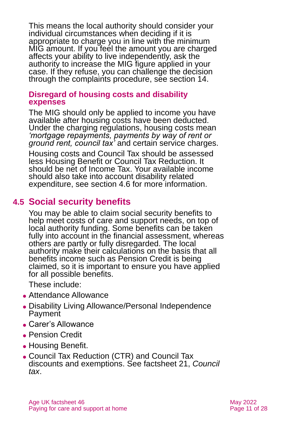This means the local authority should consider your individual circumstances when deciding if it is appropriate to charge you in line with the minimum MIG amount. If you feel the amount you are charged affects your ability to live independently, ask the authority to increase the MIG figure applied in your case. If they refuse, you can challenge the decision through the complaints procedure, see [section 14.](#page-23-0)

#### **Disregard of housing costs and disability expenses**

The MIG should only be applied to income you have available after housing costs have been deducted. Under the charging regulations, housing costs mean *'mortgage repayments, payments by way of rent or ground rent, council tax'* and certain service charges.

Housing costs and Council Tax should be assessed less Housing Benefit or Council Tax Reduction. It should be net of Income Tax. Your available income should also take into account disability related expenditure, see [section 4.6](#page-11-0) for more information.

### **4.5 Social security benefits**

You may be able to claim social security benefits to help meet costs of care and support needs, on top of local authority funding. Some benefits can be taken fully into account in the financial assessment, whereas others are partly or fully disregarded. The local authority make their calculations on the basis that all benefits income such as Pension Credit is being claimed, so it is important to ensure you have applied for all possible benefits.

These include:

- ⚫ Attendance Allowance
- ⚫ Disability Living Allowance/Personal Independence Payment
- ⚫ Carer's Allowance
- Pension Credit
- Housing Benefit.
- ⚫ Council Tax Reduction (CTR) and Council Tax discounts and exemptions. See factsheet 21, *[Council](https://www.ageuk.org.uk/globalassets/age-uk/documents/factsheets/fs21_council_tax_fcs.pdf)  [tax](https://www.ageuk.org.uk/globalassets/age-uk/documents/factsheets/fs21_council_tax_fcs.pdf)*.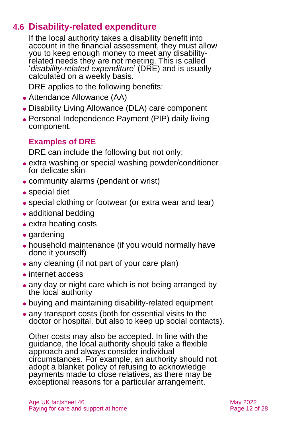### **4.6 Disability-related expenditure**

<span id="page-11-0"></span>If the local authority takes a disability benefit into account in the financial assessment, they must allow you to keep enough money to meet any disabilityrelated needs they are not meeting. This is called '*disability-related expenditure*' (DRE) and is usually calculated on a weekly basis.

DRE applies to the following benefits:

- ⚫ Attendance Allowance (AA)
- ⚫ Disability Living Allowance (DLA) care component
- ⚫ Personal Independence Payment (PIP) daily living component.

### **Examples of DRE**

DRE can include the following but not only:

- ⚫ extra washing or special washing powder/conditioner for delicate skin
- ⚫ community alarms (pendant or wrist)
- special diet
- special clothing or footwear (or extra wear and tear)
- ⚫ additional bedding
- ⚫ extra heating costs
- gardening
- ⚫ household maintenance (if you would normally have done it yourself)
- any cleaning (if not part of your care plan)
- internet access
- any day or night care which is not being arranged by the local authority
- ⚫ buying and maintaining disability-related equipment
- ⚫ any transport costs (both for essential visits to the doctor or hospital, but also to keep up social contacts).

Other costs may also be accepted. In line with the quidance, the local authority should take a flexible approach and always consider individual circumstances. For example, an authority should not adopt a blanket policy of refusing to acknowledge payments made to close relatives, as there may be exceptional reasons for a particular arrangement.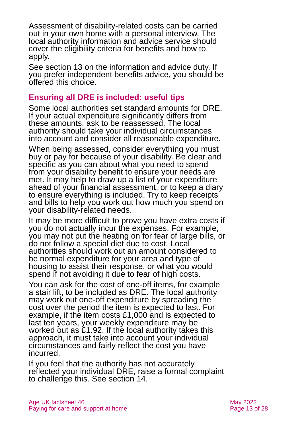Assessment of disability-related costs can be carried out in your own home with a personal interview. The local authority information and advice service should cover the eligibility criteria for benefits and how to apply.

See [section 13](#page-22-1) on the information and advice duty. If you prefer independent benefits advice, you should be offered this choice.

#### **Ensuring all DRE is included: useful tips**

Some local authorities set standard amounts for DRE. If your actual expenditure significantly differs from these amounts, ask to be reassessed. The local authority should take your individual circumstances into account and consider all reasonable expenditure.

When being assessed, consider everything you must buy or pay for because of your disability. Be clear and specific as you can about what you need to spend from your disability benefit to ensure your needs are met. It may help to draw up a list of your expenditure ahead of your financial assessment, or to keep a diary to ensure everything is included. Try to keep receipts and bills to help you work out how much you spend on your disability-related needs.

It may be more difficult to prove you have extra costs if you do not actually incur the expenses. For example, you may not put the heating on for fear of large bills, or do not follow a special diet due to cost. Local authorities should work out an amount considered to be normal expenditure for your area and type of housing to assist their response, or what you would spend if not avoiding it due to fear of high costs.

You can ask for the cost of one-off items, for example a stair lift, to be included as DRE. The local authority may work out one-off expenditure by spreading the cost over the period the item is expected to last. For example, if the item costs £1,000 and is expected to last ten years, your weekly expenditure may be worked out as £1.92. If the local authority takes this approach, it must take into account your individual circumstances and fairly reflect the cost you have incurred.

If you feel that the authority has not accurately reflected your individual DRE, raise a formal complaint to challenge this. See [section 14.](#page-23-0)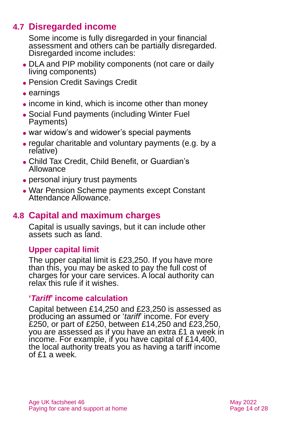### **4.7 Disregarded income**

Some income is fully disregarded in your financial assessment and others can be partially disregarded. Disregarded income includes:

- ⚫ DLA and PIP mobility components (not care or daily living components)
- ⚫ Pension Credit Savings Credit
- ⚫ earnings
- income in kind, which is income other than money
- ⚫ Social Fund payments (including Winter Fuel Payments)
- war widow's and widower's special payments
- ⚫ regular charitable and voluntary payments (e.g. by a relative)
- ⚫ Child Tax Credit, Child Benefit, or Guardian's Allowance
- personal injury trust payments
- ⚫ War Pension Scheme payments except Constant Attendance Allowance.

### **4.8 Capital and maximum charges**

Capital is usually savings, but it can include other assets such as land.

#### **Upper capital limit**

The upper capital limit is £23,250. If you have more than this, you may be asked to pay the full cost of charges for your care services. A local authority can relax this rule if it wishes.

#### **'***Tariff***' income calculation**

Capital between £14,250 and £23,250 is assessed as producing an assumed or '*tariff*' income. For every £250, or part of £250, between £14,250 and £23,250, you are assessed as if you have an extra £1 a week in income. For example, if you have capital of £14,400, the local authority treats you as having a tariff income of £1 a week.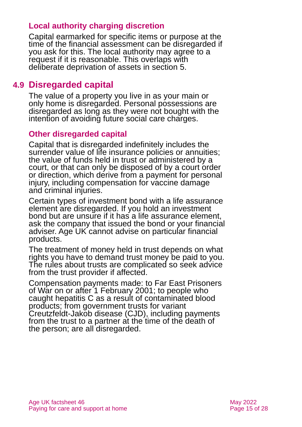#### **Local authority charging discretion**

Capital earmarked for specific items or purpose at the time of the financial assessment can be disregarded if you ask for this. The local authority may agree to a request if it is reasonable. This overlaps with deliberate deprivation of assets in [section 5.](#page-15-0)

#### **4.9 Disregarded capital**

The value of a property you live in as your main or only home is disregarded. Personal possessions are disregarded as long as they were not bought with the intention of avoiding future social care charges.

#### **Other disregarded capital**

Capital that is disregarded indefinitely includes the surrender value of life insurance policies or annuities; the value of funds held in trust or administered by a court, or that can only be disposed of by a court order or direction, which derive from a payment for personal injury, including compensation for vaccine damage and criminal injuries.

Certain types of investment bond with a life assurance element are disregarded. If you hold an investment bond but are unsure if it has a life assurance element, ask the company that issued the bond or your financial adviser. Age UK cannot advise on particular financial products.

The treatment of money held in trust depends on what rights you have to demand trust money be paid to you. The rules about trusts are complicated so seek advice from the trust provider if affected.

Compensation payments made: to Far East Prisoners of War on or after 1 February 2001; to people who caught hepatitis C as a result of contaminated blood products; from government trusts for variant Creutzfeldt-Jakob disease (CJD), including payments from the trust to a partner at the time of the death of the person; are all disregarded.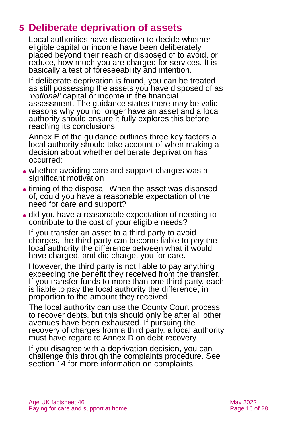# <span id="page-15-0"></span>**5 Deliberate deprivation of assets**

Local authorities have discretion to decide whether eligible capital or income have been deliberately placed beyond their reach or disposed of to avoid, or reduce, how much you are charged for services. It is basically a test of foreseeability and intention.

If deliberate deprivation is found, you can be treated as still possessing the assets you have disposed of as *'notional'* capital or income in the financial assessment. The guidance states there may be valid reasons why you no longer have an asset and a local authority should ensure it fully explores this before reaching its conclusions.

Annex E of the guidance outlines three key factors a local authority should take account of when making a decision about whether deliberate deprivation has occurred:

- whether avoiding care and support charges was a significant motivation
- timing of the disposal. When the asset was disposed of, could you have a reasonable expectation of the need for care and support?
- ⚫ did you have a reasonable expectation of needing to contribute to the cost of your eligible needs?

If you transfer an asset to a third party to avoid charges, the third party can become liable to pay the local authority the difference between what it would have charged, and did charge, you for care.

However, the third party is not liable to pay anything exceeding the benefit they received from the transfer. If you transfer funds to more than one third party, each is liable to pay the local authority the difference, in proportion to the amount they received.

The local authority can use the County Court process to recover debts, but this should only be after all other avenues have been exhausted. If pursuing the recovery of charges from a third party, a local authority must have regard to Annex D on debt recovery.

If you disagree with a deprivation decision, you can challenge this through the complaints procedure. See [section 14](#page-23-0) for more information on complaints.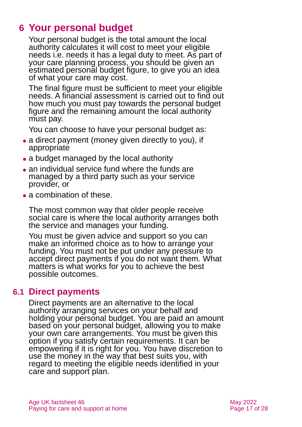# <span id="page-16-0"></span>**6 Your personal budget**

Your personal budget is the total amount the local authority calculates it will cost to meet your eligible needs i.e. needs it has a legal duty to meet. As part of your care planning process, you should be given an estimated personal budget figure, to give you an idea of what your care may cost.

The final figure must be sufficient to meet your eligible needs. A financial assessment is carried out to find out how much you must pay towards the personal budget figure and the remaining amount the local authority must pay.

You can choose to have your personal budget as:

- a direct payment (money given directly to you), if appropriate
- a budget managed by the local authority
- an individual service fund where the funds are managed by a third party such as your service provider, or
- a combination of these.

The most common way that older people receive social care is where the local authority arranges both the service and manages your funding.

You must be given advice and support so you can make an informed choice as to how to arrange your funding. You must not be put under any pressure to accept direct payments if you do not want them. What matters is what works for you to achieve the best possible outcomes.

#### **6.1 Direct payments**

Direct payments are an alternative to the local authority arranging services on your behalf and holding your personal budget. You are paid an amount based on your personal budget, allowing you to make your own care arrangements. You must be given this option if you satisfy certain requirements. It can be empowering if it is right for you. You have discretion to use the money in the way that best suits you, with regard to meeting the eligible needs identified in your care and support plan.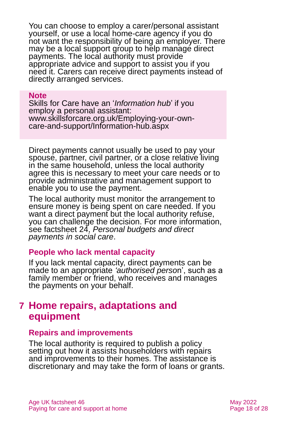You can choose to employ a carer/personal assistant yourself, or use a local home-care agency if you do not want the responsibility of being an employer. There may be a local support group to help manage direct payments. The local authority must provide appropriate advice and support to assist you if you need it. Carers can receive direct payments instead of directly arranged services.

#### **Note**

Skills for Care have an '*Information hub*' if you employ a personal assistant: [www.skillsforcare.org.uk/Employing-your-own](http://www.skillsforcare.org.uk/Employing-your-own-care-and-support/Information-hub.aspx)[care-and-support/Information-hub.aspx](http://www.skillsforcare.org.uk/Employing-your-own-care-and-support/Information-hub.aspx)

Direct payments cannot usually be used to pay your spouse, partner, civil partner, or a close relative living in the same household, unless the local authority agree this is necessary to meet your care needs or to provide administrative and management support to enable you to use the payment.

The local authority must monitor the arrangement to ensure money is being spent on care needed. If you want a direct payment but the local authority refuse, you can challenge the decision. For more information, see factsheet 24, *[Personal budgets and direct](https://www.ageuk.org.uk/globalassets/age-uk/documents/factsheets/fs24_personal_budgets_and_direct_payments_in_social_care_fcs.pdf)  [payments in social care](https://www.ageuk.org.uk/globalassets/age-uk/documents/factsheets/fs24_personal_budgets_and_direct_payments_in_social_care_fcs.pdf)*.

#### **People who lack mental capacity**

If you lack mental capacity, direct payments can be made to an appropriate *'authorised perso*n', such as a family member or friend, who receives and manages the payments on your behalf.

### <span id="page-17-0"></span>**7 Home repairs, adaptations and equipment**

#### **Repairs and improvements**

The local authority is required to publish a policy setting out how it assists householders with repairs and improvements to their homes. The assistance is discretionary and may take the form of loans or grants.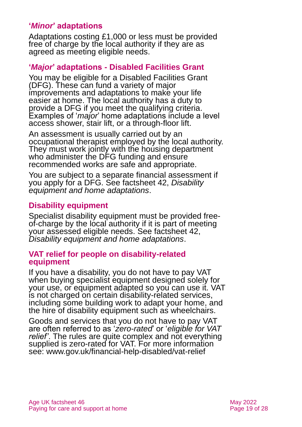#### **'***Minor***' adaptations**

Adaptations costing £1,000 or less must be provided free of charge by the local authority if they are as agreed as meeting eligible needs.

#### **'***Major***' adaptations - Disabled Facilities Grant**

You may be eligible for a Disabled Facilities Grant (DFG). These can fund a variety of major improvements and adaptations to make your life easier at home. The local authority has a duty to provide a DFG if you meet the qualifying criteria. Examples of '*major*' home adaptations include a level access shower, stair lift, or a through-floor lift.

An assessment is usually carried out by an occupational therapist employed by the local authority. They must work jointly with the housing department who administer the DFG funding and ensure recommended works are safe and appropriate.

You are subject to a separate financial assessment if you apply for a DFG. See factsheet 42, *[Disability](https://www.ageuk.org.uk/globalassets/age-uk/documents/factsheets/fs42_disability_equipment_and_home_adaptations_fcs.pdf)  [equipment and home adaptations](https://www.ageuk.org.uk/globalassets/age-uk/documents/factsheets/fs42_disability_equipment_and_home_adaptations_fcs.pdf)*.

#### **Disability equipment**

Specialist disability equipment must be provided freeof-charge by the local authority if it is part of meeting your assessed eligible needs. See factsheet 42, *[Disability equipment and home adaptations](https://www.ageuk.org.uk/globalassets/age-uk/documents/factsheets/fs42_disability_equipment_and_home_adaptations_fcs.pdf)*.

#### **VAT relief for people on disability-related equipment**

If you have a disability, you do not have to pay VAT when buying specialist equipment designed solely for your use, or equipment adapted so you can use it. VAT is not charged on certain disability-related services, including some building work to adapt your home, and the hire of disability equipment such as wheelchairs.

Goods and services that you do not have to pay VAT are often referred to as '*zero-rated*' or '*eligible for VAT relief'*. The rules are quite complex and not everything supplied is zero-rated for VAT. For more information see: [www.gov.uk/financial-help-disabled/vat-relief](http://www.gov.uk/financial-help-disabled/vat-relief)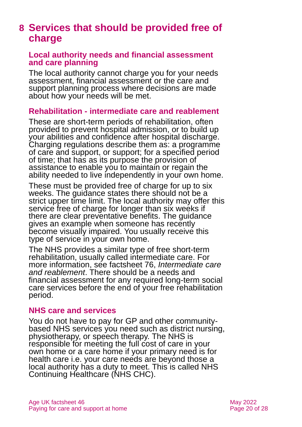# <span id="page-19-0"></span>**8 Services that should be provided free of charge**

#### **Local authority needs and financial assessment and care planning**

The local authority cannot charge you for your needs assessment, financial assessment or the care and support planning process where decisions are made about how your needs will be met.

#### **Rehabilitation - intermediate care and reablement**

These are short-term periods of rehabilitation, often provided to prevent hospital admission, or to build up your abilities and confidence after hospital discharge. Charging regulations describe them as: a programme of care and support, or support; for a specified period of time; that has as its purpose the provision of assistance to enable you to maintain or regain the ability needed to live independently in your own home.

These must be provided free of charge for up to six weeks. The guidance states there should not be a strict upper time limit. The local authority may offer this service free of charge for longer than six weeks if there are clear preventative benefits. The guidance gives an example when someone has recently become visually impaired. You usually receive this type of service in your own home.

The NHS provides a similar type of free short-term rehabilitation, usually called intermediate care. For more information, see factsheet 76, *[Intermediate care](https://www.ageuk.org.uk/globalassets/age-uk/documents/factsheets/fs76_intermediate_care_and_reablement_fcs.pdf)  [and reablement](https://www.ageuk.org.uk/globalassets/age-uk/documents/factsheets/fs76_intermediate_care_and_reablement_fcs.pdf)*. There should be a needs and financial assessment for any required long-term social care services before the end of your free rehabilitation period.

#### **NHS care and services**

You do not have to pay for GP and other communitybased NHS services you need such as district nursing, physiotherapy, or speech therapy. The NHS is responsible for meeting the full cost of care in your own home or a care home if your primary need is for health care i.e. your care needs are beyond those a local authority has a duty to meet. This is called NHS Continuing Healthcare (NHS CHC).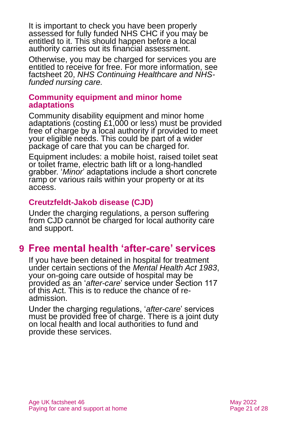It is important to check you have been properly assessed for fully funded NHS CHC if you may be entitled to it. This should happen before a local authority carries out its financial assessment.

Otherwise, you may be charged for services you are entitled to receive for free. For more information, see factsheet 20, *[NHS Continuing Healthcare and NHS](https://www.ageuk.org.uk/globalassets/age-uk/documents/factsheets/fs20_nhs_continuing_healthcare_and_nhs-funded_nursing_care_fcs.pdf)[funded nursing care.](https://www.ageuk.org.uk/globalassets/age-uk/documents/factsheets/fs20_nhs_continuing_healthcare_and_nhs-funded_nursing_care_fcs.pdf)*

#### **Community equipment and minor home adaptations**

Community disability equipment and minor home adaptations (costing £1,000 or less) must be provided free of charge by a local authority if provided to meet your eligible needs. This could be part of a wider package of care that you can be charged for.

Equipment includes: a mobile hoist, raised toilet seat or toilet frame, electric bath lift or a long-handled grabber. '*Minor*' adaptations include a short concrete ramp or various rails within your property or at its access.

#### **Creutzfeldt-Jakob disease (CJD)**

Under the charging regulations, a person suffering from CJD cannot be charged for local authority care and support.

# <span id="page-20-0"></span>**9 Free mental health 'after-care' services**

If you have been detained in hospital for treatment under certain sections of the *[Mental Health Act 1983](https://www.legislation.gov.uk/ukpga/1983/20/contents)*, your on-going care outside of hospital may be provided as an '*after-care*[' service under Section 117](https://www.mind.org.uk/information-support/legal-rights/leaving-hospital/section-117-aftercare/)  [of this Act.](https://www.mind.org.uk/information-support/legal-rights/leaving-hospital/section-117-aftercare/) This is to reduce the chance of readmission.

Under the charging regulations, '*after-care*' services must be provided free of charge. There is a joint duty on local health and local authorities to fund and provide these services.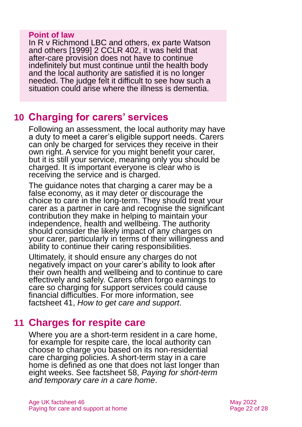#### **Point of law**

In R v Richmond LBC and others, ex parte Watson and others [1999] 2 CCLR 402, it was held that after-care provision does not have to continue indefinitely but must continue until the health body and the local authority are satisfied it is no longer needed. The judge felt it difficult to see how such a situation could arise where the illness is dementia.

## <span id="page-21-0"></span>**10 Charging for carers' services**

Following an assessment, the local authority may have a duty to meet a carer's eligible support needs. Carers can only be charged for services they receive in their own right. A service for you might benefit your carer, but it is still your service, meaning only you should be charged. It is important everyone is clear who is receiving the service and is charged.

The guidance notes that charging a carer may be a false economy, as it may deter or discourage the choice to care in the long-term. They should treat your carer as a partner in care and recognise the significant contribution they make in helping to maintain your independence, health and wellbeing. The authority should consider the likely impact of any charges on your carer, particularly in terms of their willingness and ability to continue their caring responsibilities.

Ultimately, it should ensure any charges do not negatively impact on your carer's ability to look after their own health and wellbeing and to continue to care effectively and safely. Carers often forgo earnings to care so charging for support services could cause financial difficulties. For more information, see factsheet 41, *[How to get care and support](https://www.ageuk.org.uk/globalassets/age-uk/documents/factsheets/fs41_how_to_get_care_and_support_fcs.pdf)*.

# <span id="page-21-1"></span>**11 Charges for respite care**

Where you are a short-term resident in a care home, for example for respite care, the local authority can choose to charge you based on its non-residential care charging policies. A short-term stay in a care home is defined as one that does not last longer than eight weeks. See factsheet 58, *Paying for [short-term](https://www.ageuk.org.uk/globalassets/age-uk/documents/factsheets/fs58_paying_for_short-term_and_temporary_care_in_a_care_home_fcs.pdf)  and [temporary care in a care home](https://www.ageuk.org.uk/globalassets/age-uk/documents/factsheets/fs58_paying_for_short-term_and_temporary_care_in_a_care_home_fcs.pdf)*.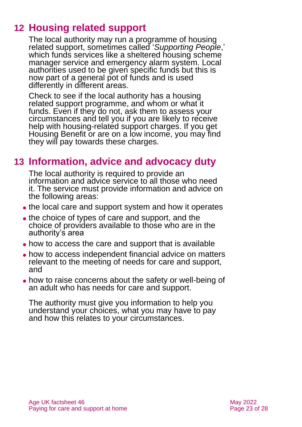# **12 Housing related support**

<span id="page-22-0"></span>The local authority may run a programme of housing related support, sometimes called '*Supporting People*,' which funds services like a sheltered housing scheme manager service and emergency alarm system. Local authorities used to be given specific funds but this is now part of a general pot of funds and is used differently in different areas.

Check to see if the local authority has a housing related support programme, and whom or what it funds. Even if they do not, ask them to assess your circumstances and tell you if you are likely to receive help with housing-related support charges. If you get Housing Benefit or are on a low income, you may find they will pay towards these charges.

# <span id="page-22-1"></span>**13 Information, advice and advocacy duty**

The local authority is required to provide an information and advice service to all those who need it. The service must provide information and advice on the following areas:

- the local care and support system and how it operates
- the choice of types of care and support, and the choice of providers available to those who are in the authority's area
- ⚫ how to access the care and support that is available
- ⚫ how to access independent financial advice on matters relevant to the meeting of needs for care and support, and
- ⚫ how to raise concerns about the safety or well-being of an adult who has needs for care and support.

The authority must give you information to help you understand your choices, what you may have to pay and how this relates to your circumstances.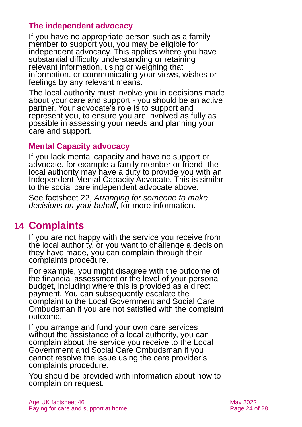#### **The independent advocacy**

If you have no appropriate person such as a family member to support you, you may be eligible for independent advocacy. This applies where you have substantial difficulty understanding or retaining relevant information, using or weighing that information, or communicating your views, wishes or feelings by any relevant means.

The local authority must involve you in decisions made about your care and support - you should be an active partner. Your advocate's role is to support and represent you, to ensure you are involved as fully as possible in assessing your needs and planning your care and support.

#### **Mental Capacity advocacy**

If you lack mental capacity and have no support or advocate, for example a family member or friend, the local authority may have a duty to provide you with an Independent Mental Capacity Advocate. This is similar to the social care independent advocate above.

<span id="page-23-0"></span>See factsheet 22, *[Arranging for someone to make](https://www.ageuk.org.uk/globalassets/age-uk/documents/factsheets/fs22_arranging_for_someone_to_make_decisions_on_your_behalf_fcs.pdf)  [decisions on your behalf](https://www.ageuk.org.uk/globalassets/age-uk/documents/factsheets/fs22_arranging_for_someone_to_make_decisions_on_your_behalf_fcs.pdf)*, for more information.

# **14 Complaints**

If you are not happy with the service you receive from the local authority, or you want to challenge a decision they have made, you can complain through their complaints procedure.

For example, you might disagree with the outcome of the financial assessment or the level of your personal budget, including where this is provided as a direct payment. You can subsequently escalate the complaint to the Local Government and Social Care Ombudsman if you are not satisfied with the complaint outcome.

If you arrange and fund your own care services without the assistance of a local authority, you can complain about the service you receive to the Local Government and Social Care Ombudsman if you cannot resolve the issue using the care provider's complaints procedure.

You should be provided with information about how to complain on request.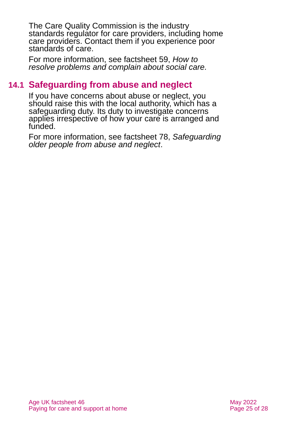The Care Quality Commission is the industry standards regulator for care providers, including home care providers. Contact them if you experience poor standards of care.

For more information, see factsheet 59, *[How to](https://www.ageuk.org.uk/globalassets/age-uk/documents/factsheets/fs59_how_to_resolve_problems_and_complain_about_social_care_fcs.pdf)  [resolve problems and complain about social care.](https://www.ageuk.org.uk/globalassets/age-uk/documents/factsheets/fs59_how_to_resolve_problems_and_complain_about_social_care_fcs.pdf)*

### **14.1 Safeguarding from abuse and neglect**

If you have concerns about abuse or neglect, you should raise this with the local authority, which has a safeguarding duty. Its duty to investigate concerns applies irrespective of how your care is arranged and funded.

For more information, see factsheet 78, *[Safeguarding](https://www.ageuk.org.uk/globalassets/age-uk/documents/factsheets/fs78_safeguarding_older_people_from_abuse_fcs.pdf)  [older people from abuse and neglect](https://www.ageuk.org.uk/globalassets/age-uk/documents/factsheets/fs78_safeguarding_older_people_from_abuse_fcs.pdf)*.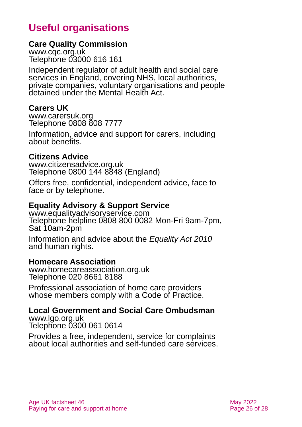# **Useful organisations**

#### <span id="page-25-0"></span>**Care Quality Commission**

[www.cqc.org.uk](http://www.cqc.org.uk/) Telephone 03000 616 161

Independent regulator of adult health and social care services in England, covering NHS, local authorities, private companies, voluntary organisations and people detained under the Mental Health Act.

#### **Carers UK**

[www.carersuk.org](http://www.carersuk.org/) Telephone 0808 808 7777

Information, advice and support for carers, including about benefits.

#### **Citizens Advice**

[www.citizensadvice.org.uk](http://www.citizensadvice.org.uk/) Telephone 0800 144 8848 (England)

Offers free, confidential, independent advice, face to face or by telephone.

#### **Equality Advisory & Support Service**

[www.equalityadvisoryservice.com](http://www.equalityadvisoryservice.com/) Telephone helpline 0808 800 0082 Mon-Fri 9am-7pm, Sat 10am-2pm

Information and advice about the *Equality Act 2010* and human rights.

#### **Homecare Association**

[www.homecareassociation.org.uk](http://www.homecareassociation.org.uk/) Telephone 020 8661 8188

Professional association of home care providers whose members comply with a Code of Practice.

# **Local Government and Social Care Ombudsman**

[www.lgo.org.uk](http://www.lgo.org.uk/) Telephone 0300 061 0614

Provides a free, independent, service for complaints about local authorities and self-funded care services.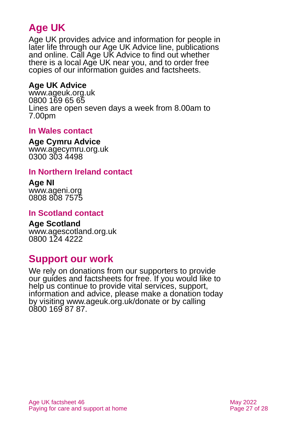# **Age UK**

Age UK provides advice and information for people in later life through our Age UK Advice line, publications and online. Call Age UK Advice to find out whether there is a local Age UK near you, and to order free copies of our information guides and factsheets.

#### <span id="page-26-1"></span>**Age UK Advice**

[www.ageuk.org.uk](http://www.ageuk.org.uk/) 0800 169 65 65 Lines are open seven days a week from 8.00am to 7.00pm

#### **In Wales contact**

#### **Age Cymru Advice**

[www.agecymru.org.uk](http://www.agecymru.org.uk/) 0300 303 4498

#### <span id="page-26-0"></span>**In Northern Ireland contact**

#### **Age NI** [www.ageni.org](http://www.ageni.org/)

0808 808 7575

#### **In Scotland contact**

# <span id="page-26-2"></span>**Age Scotland**

[www.agescotland.org.uk](http://www.agescotland.org.uk/) 0800 124 4222

### **Support our work**

We rely on donations from our supporters to provide our guides and factsheets for free. If you would like to help us continue to provide vital services, support, information and advice, please make a donation today by visiting [www.ageuk.org.uk/donate](http://www.ageuk.org.uk/donate) or by calling 0800 169 87 87.